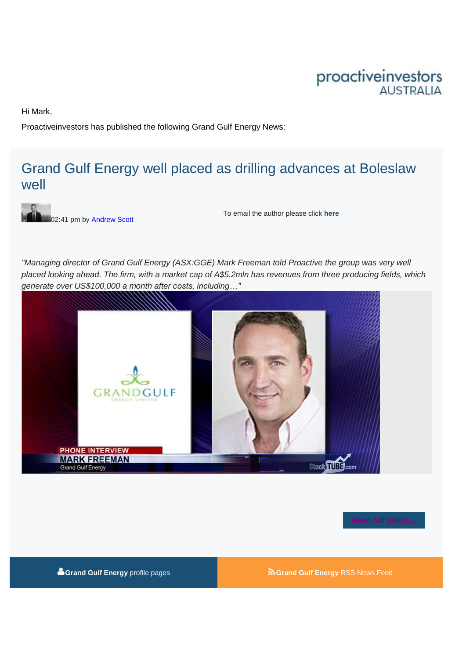# proactiveinvestors

Hi Mark,

Proactiveinvestors has published the following Grand Gulf Energy News:

## [Grand Gulf Energy well placed as drilling advances at Boleslaw](http://www.proactiveinvestors.com.au/companies/stocktube/6619/grand-gulf-energy-well-placed-as-drilling-advances-at-boleslaw-well-6619.html)  [well](http://www.proactiveinvestors.com.au/companies/stocktube/6619/grand-gulf-energy-well-placed-as-drilling-advances-at-boleslaw-well-6619.html)



To email the author please click **[here](mailto:)**

*"Managing director of Grand Gulf Energy (ASX:GGE) Mark Freeman told Proactive the group was very well placed looking ahead. The firm, with a market cap of A\$5.2mln has revenues from three producing fields, which generate over US\$100,000 a month after costs, including…"* 





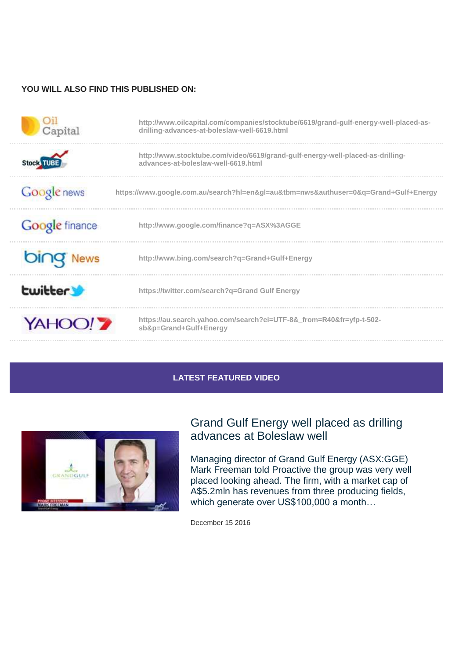#### **YOU WILL ALSO FIND THIS PUBLISHED ON:**

| Capital               | http://www.oilcapital.com/companies/stocktube/6619/grand-gulf-energy-well-placed-as-<br>drilling-advances-at-boleslaw-well-6619.html |
|-----------------------|--------------------------------------------------------------------------------------------------------------------------------------|
|                       | http://www.stocktube.com/video/6619/grand-gulf-energy-well-placed-as-drilling-<br>advances-at-boleslaw-well-6619.html                |
| Google news           | https://www.google.com.au/search?hl=en≷=au&tbm=nws&authuser=0&q=Grand+Gulf+Energy                                                    |
| <b>Google</b> finance | http://www.google.com/finance?q=ASX%3AGGE                                                                                            |
|                       | http://www.bing.com/search?q=Grand+Gulf+Energy                                                                                       |
| <b>Ewitter</b>        | https://twitter.com/search?q=Grand Gulf Energy                                                                                       |
| <b>YAHOO!</b>         | https://au.search.yahoo.com/search?ei=UTF-8&_from=R40&fr=yfp-t-502-<br>sb&p=Grand+Gulf+Energy                                        |

#### **LATEST FEATURED VIDEO**



### [Grand Gulf Energy well placed as drilling](http://www.proactiveinvestors.com.au/companies/stocktube/6619/grand-gulf-energy-well-placed-as-drilling-advances-at-boleslaw-well-6619.html)  [advances at Boleslaw well](http://www.proactiveinvestors.com.au/companies/stocktube/6619/grand-gulf-energy-well-placed-as-drilling-advances-at-boleslaw-well-6619.html)

Managing director of Grand Gulf Energy (ASX:GGE) Mark Freeman told Proactive the group was very well placed looking ahead. The firm, with a market cap of A\$5.2mln has revenues from three producing fields, which generate over US\$100,000 a month...

December 15 2016